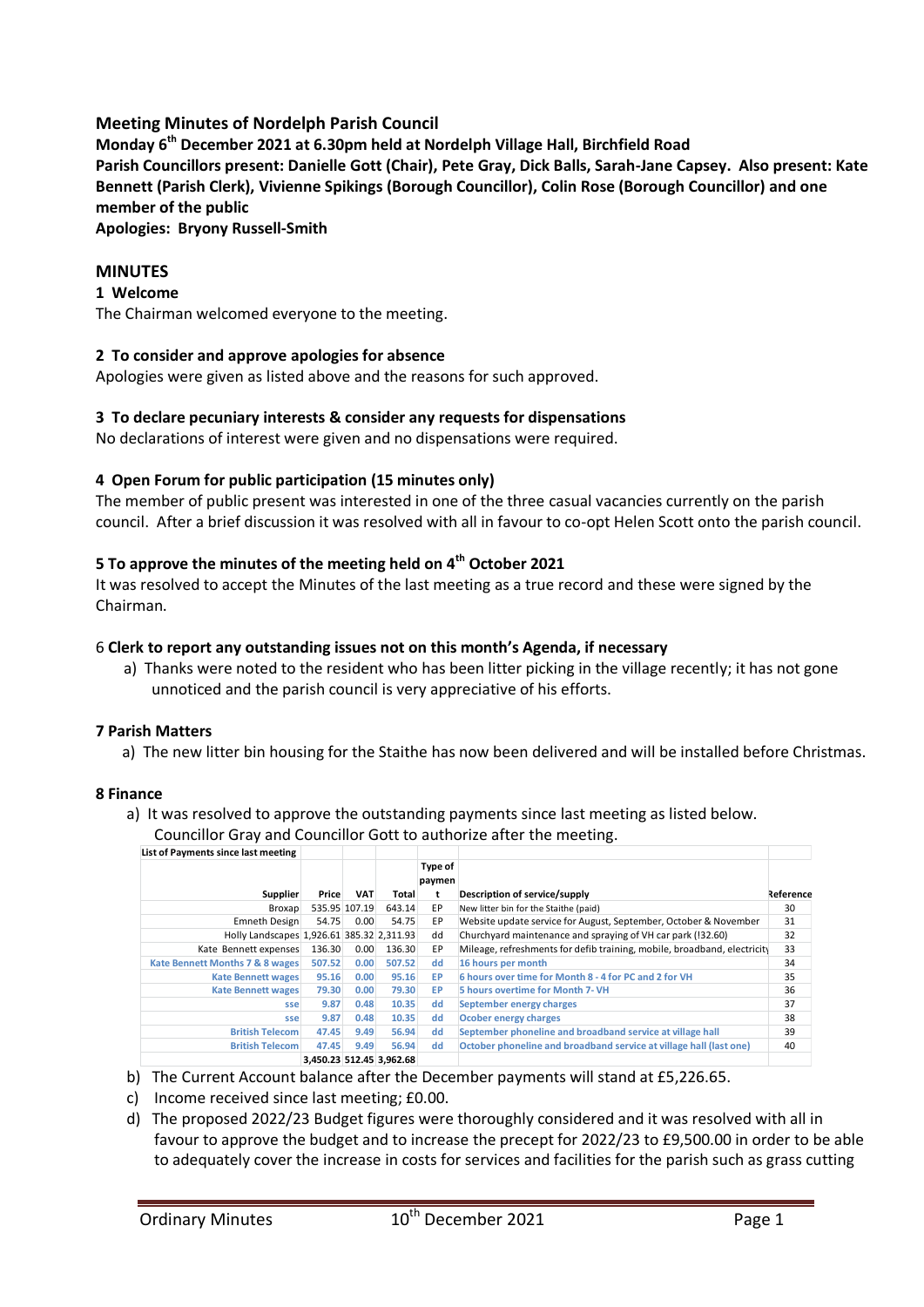# **Meeting Minutes of Nordelph Parish Council**

**Monday 6th December 2021 at 6.30pm held at Nordelph Village Hall, Birchfield Road Parish Councillors present: Danielle Gott (Chair), Pete Gray, Dick Balls, Sarah-Jane Capsey. Also present: Kate Bennett (Parish Clerk), Vivienne Spikings (Borough Councillor), Colin Rose (Borough Councillor) and one member of the public**

**Apologies: Bryony Russell-Smith**

# **MINUTES**

### **1 Welcome**

The Chairman welcomed everyone to the meeting.

## **2 To consider and approve apologies for absence**

Apologies were given as listed above and the reasons for such approved.

## **3 To declare pecuniary interests & consider any requests for dispensations**

No declarations of interest were given and no dispensations were required.

## **4 Open Forum for public participation (15 minutes only)**

The member of public present was interested in one of the three casual vacancies currently on the parish council. After a brief discussion it was resolved with all in favour to co-opt Helen Scott onto the parish council.

# **5 To approve the minutes of the meeting held on 4th October 2021**

It was resolved to accept the Minutes of the last meeting as a true record and these were signed by the Chairman.

### 6 **Clerk to report any outstanding issues not on this month's Agenda, if necessary**

a) Thanks were noted to the resident who has been litter picking in the village recently; it has not gone unnoticed and the parish council is very appreciative of his efforts.

### **7 Parish Matters**

a) The new litter bin housing for the Staithe has now been delivered and will be installed before Christmas.

### **8 Finance**

a) It was resolved to approve the outstanding payments since last meeting as listed below. Councillor Gray and Councillor Gott to authorize after the meeting.

| List of Payments since last meeting        |        |               |                          |                   |                                                                          |           |
|--------------------------------------------|--------|---------------|--------------------------|-------------------|--------------------------------------------------------------------------|-----------|
|                                            |        |               |                          | Type of<br>paymen |                                                                          |           |
| Supplier                                   | Price  | <b>VAT</b>    | Total                    |                   | Description of service/supply                                            | Reference |
| Broxap                                     |        | 535.95 107.19 | 643.14                   | EP.               | New litter bin for the Staithe (paid)                                    | 30        |
| Emneth Design                              | 54.75  | 0.00          | 54.75                    | EP                | Website update service for August, September, October & November         | 31        |
| Holly Landscapes 1,926.61 385.32 2,311.93  |        |               |                          | dd                | Churchyard maintenance and spraying of VH car park (!32.60)              | 32        |
| Kate Bennett expenses                      | 136.30 | 0.00          | 136.30                   | EP                | Mileage, refreshments for defib training, mobile, broadband, electricity | 33        |
| <b>Kate Bennett Months 7 &amp; 8 wages</b> | 507.52 | 0.00          | 507.52                   | dd                | 16 hours per month                                                       | 34        |
| <b>Kate Bennett wages</b>                  | 95.16  | 0.00          | 95.16                    | <b>EP</b>         | 6 hours over time for Month 8 - 4 for PC and 2 for VH                    | 35        |
| <b>Kate Bennett wages</b>                  | 79.30  | 0.00          | 79.30                    | <b>EP</b>         | 5 hours overtime for Month 7- VH                                         | 36        |
| sse                                        | 9.87   | 0.48          | 10.35                    | dd                | September energy charges                                                 | 37        |
| sse                                        | 9.87   | 0.48          | 10.35                    | dd                | Ocober energy charges                                                    | 38        |
| <b>British Telecom</b>                     | 47.45  | 9.49          | 56.94                    | dd                | September phoneline and broadband service at village hall                | 39        |
| <b>British Telecom</b>                     | 47.45  | 9.49          | 56.94                    | dd                | October phoneline and broadband service at village hall (last one)       | 40        |
|                                            |        |               | 3.450.23 512.45 3.962.68 |                   |                                                                          |           |

- b) The Current Account balance after the December payments will stand at £5,226.65.
- c) Income received since last meeting; £0.00.
- d) The proposed 2022/23 Budget figures were thoroughly considered and it was resolved with all in favour to approve the budget and to increase the precept for 2022/23 to £9,500.00 in order to be able to adequately cover the increase in costs for services and facilities for the parish such as grass cutting